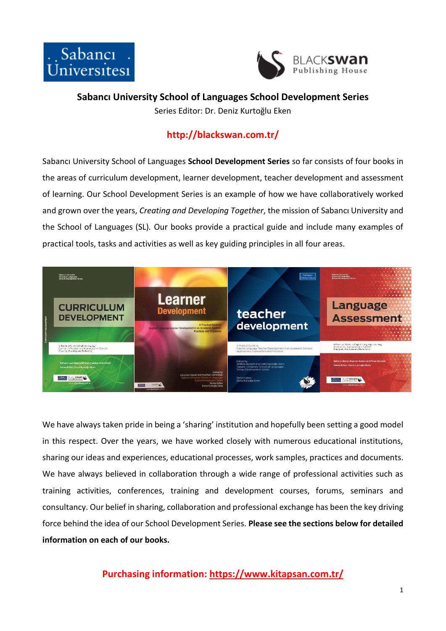



**Sabancı University School of Languages School Development Series**

Series Editor: Dr. Deniz Kurtoğlu Eken

# **http://blackswan.com.tr/**

Sabancı University School of Languages **School Development Series** so far consists of four books in the areas of curriculum development, learner development, teacher development and assessment of learning. Our School Development Series is an example of how we have collaboratively worked and grown over the years, *Creating and Developing Together*, the mission of Sabancı University and the School of Languages (SL)*.* Our books provide a practical guide and include many examples of practical tools, tasks and activities as well as key guiding principles in all four areas.



We have always taken pride in being a 'sharing' institution and hopefully been setting a good model in this respect. Over the years, we have worked closely with numerous educational institutions, sharing our ideas and experiences, educational processes, work samples, practices and documents. We have always believed in collaboration through a wide range of professional activities such as training activities, conferences, training and development courses, forums, seminars and consultancy. Our belief in sharing, collaboration and professional exchange has been the key driving force behind the idea of our School Development Series. **Please see the sections below for detailed information on each of our books.**

**Purchasing information:<https://www.kitapsan.com.tr/>**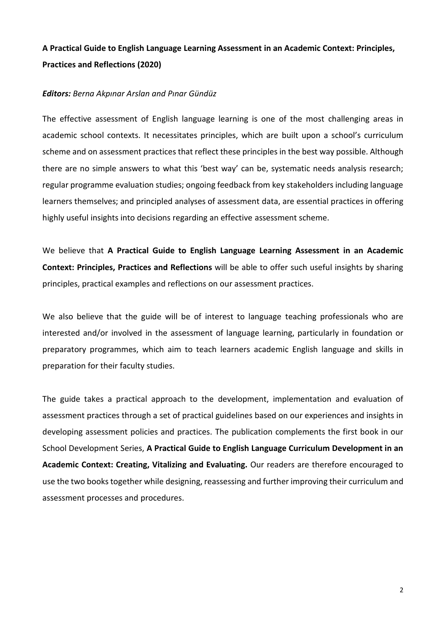# **A Practical Guide to English Language Learning Assessment in an Academic Context: Principles, Practices and Reflections (2020)**

#### *Editors: Berna Akpınar Arslan and Pınar Gündüz*

The effective assessment of English language learning is one of the most challenging areas in academic school contexts. It necessitates principles, which are built upon a school's curriculum scheme and on assessment practices that reflect these principles in the best way possible. Although there are no simple answers to what this 'best way' can be, systematic needs analysis research; regular programme evaluation studies; ongoing feedback from key stakeholders including language learners themselves; and principled analyses of assessment data, are essential practices in offering highly useful insights into decisions regarding an effective assessment scheme.

We believe that **A Practical Guide to English Language Learning Assessment in an Academic Context: Principles, Practices and Reflections** will be able to offer such useful insights by sharing principles, practical examples and reflections on our assessment practices.

We also believe that the guide will be of interest to language teaching professionals who are interested and/or involved in the assessment of language learning, particularly in foundation or preparatory programmes, which aim to teach learners academic English language and skills in preparation for their faculty studies.

The guide takes a practical approach to the development, implementation and evaluation of assessment practices through a set of practical guidelines based on our experiences and insights in developing assessment policies and practices. The publication complements the first book in our School Development Series, **A Practical Guide to English Language Curriculum Development in an Academic Context: Creating, Vitalizing and Evaluating.** Our readers are therefore encouraged to use the two books together while designing, reassessing and further improving their curriculum and assessment processes and procedures.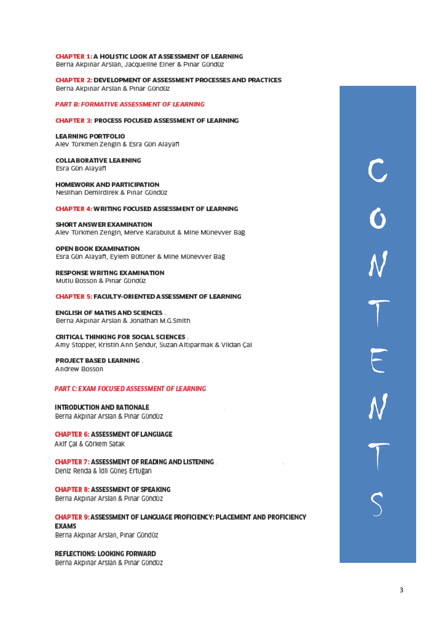**CHAPTER 2: DEVELOPMENT OF ASSESSMENT PROCESSES AND PRACTICES** Berna Akpinar Arslan & Pinar Gündüz

**PART B: FORMATIVE ASSESSMENT OF LEARNING** 

#### **CHAPTER 3: PROCESS FOCUSED ASSESSMENT OF LEARNING**

**LEARNING PORTFOLIO** Alev Türkmen Zengin & Esra Gün Alayafl

**COLLABORATIVE LEARNING** Esra Gün Alayafl

**HOMEWORK AND PARTICIPATION** Neslihan Demirdirek & Pinar Gündüz

**CHAPTER 4: WRITING FOCUSED ASSESSMENT OF LEARNING** 

**SHORT ANSWER EXAMINATION** Alev Türkmen Zengin, Merve Karabulut & Mine Münevver Bağ

**OPEN BOOK EXAMINATION** Esra Gün Alayafi, Eylem Bütüner & Mine Münevver Bağ

**RESPONSE WRITING EXAMINATION** Mutlu Bosson & Pinar Gündüz

**CHAPTER 5: FACULTY-ORIENTED ASSESSMENT OF LEARNING** 

**ENGLISH OF MATHS AND SCIENCES.** Berna Akpınar Arslan & Jonathan M.G.Smith

**CRITICAL THINKING FOR SOCIAL SCIENCES.** Amy Stopper, Kristin Ann Sendur, Suzan Altıparmak & Vildan Çal

**PROJECT BASED LEARNING.** Andrew Bosson

PART C: EXAM FOCUSED ASSESSMENT OF LEARNING

**INTRODUCTION AND RATIONALE** Berna Akpinar Arslan & Pinar Gündüz

**CHAPTER 6: ASSESSMENT OF LANGUAGE** 

Akif Cal & Görkem Satak

**CHAPTER 7: ASSESSMENT OF READING AND LISTENING.** Deniz Renda & Idil Günes Ertuğan

**CHAPTER 8: ASSESSMENT OF SPEAKING** 

Berna Akpinar Arslan & Pinar Gündüz

**CHAPTER 9: ASSESSMENT OF LANGUAGE PROFICIENCY: PLACEMENT AND PROFICIENCY EXAMS** Berna Akpınar Arslan, Pınar Gündüz

**REFLECTIONS: LOOKING FORWARD** Berna Akpinar Arslan & Pinar Gündüz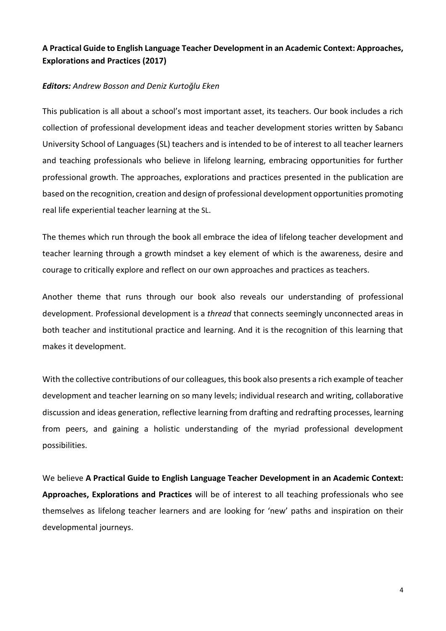### **A Practical Guide to English Language Teacher Development in an Academic Context: Approaches, Explorations and Practices (2017)**

#### *Editors: Andrew Bosson and Deniz Kurtoğlu Eken*

This publication is all about a school's most important asset, its teachers. Our book includes a rich collection of professional development ideas and teacher development stories written by Sabancı University School of Languages (SL) teachers and is intended to be of interest to all teacher learners and teaching professionals who believe in lifelong learning, embracing opportunities for further professional growth. The approaches, explorations and practices presented in the publication are based on the recognition, creation and design of professional development opportunities promoting real life experiential teacher learning at the SL.

The themes which run through the book all embrace the idea of lifelong teacher development and teacher learning through a growth mindset a key element of which is the awareness, desire and courage to critically explore and reflect on our own approaches and practices as teachers.

Another theme that runs through our book also reveals our understanding of professional development. Professional development is a *thread* that connects seemingly unconnected areas in both teacher and institutional practice and learning. And it is the recognition of this learning that makes it development.

With the collective contributions of our colleagues, this book also presents a rich example of teacher development and teacher learning on so many levels; individual research and writing, collaborative discussion and ideas generation, reflective learning from drafting and redrafting processes, learning from peers, and gaining a holistic understanding of the myriad professional development possibilities.

We believe **A Practical Guide to English Language Teacher Development in an Academic Context: Approaches, Explorations and Practices** will be of interest to all teaching professionals who see themselves as lifelong teacher learners and are looking for 'new' paths and inspiration on their developmental journeys.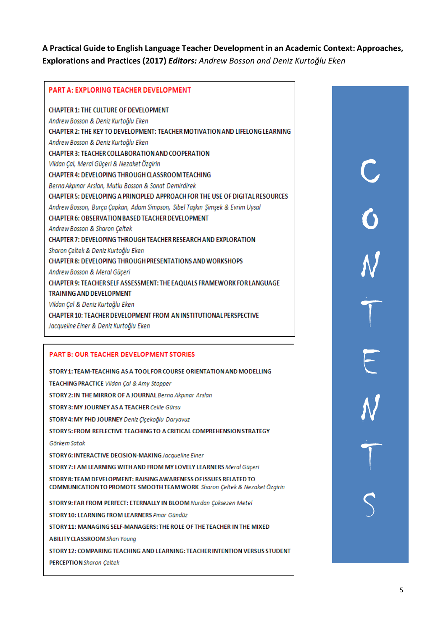### **A Practical Guide to English Language Teacher Development in an Academic Context: Approaches, Explorations and Practices (2017)** *Editors: Andrew Bosson and Deniz Kurtoğlu Eken*

#### PART A: EXPLORING TEACHER DEVELOPMENT

**CHAPTER 1: THE CULTURE OF DEVELOPMENT** Andrew Bosson & Deniz Kurtoğlu Eken CHAPTER 2: THE KEY TO DEVELOPMENT: TEACHER MOTIVATION AND LIFELONG LEARNING Andrew Bosson & Deniz Kurtoğlu Eken CHAPTER 3: TEACHER COLLABORATION AND COOPERATION Vildan Cal, Meral Güceri & Nezaket Özgirin CHAPTER 4: DEVELOPING THROUGH CLASSROOM TEACHING Berna Akpınar Arslan, Mutlu Bosson & Sonat Demirdirek CHAPTER 5: DEVELOPING A PRINCIPLED APPROACH FOR THE USE OF DIGITAL RESOURCES Andrew Bosson, Burça Çapkan, Adam Simpson, Sibel Taşkın Şimşek & Evrim Uysal CHAPTER 6: OBSERVATION BASED TEACHER DEVELOPMENT Andrew Bosson & Sharon Çeltek CHAPTER 7: DEVELOPING THROUGH TEACHER RESEARCH AND EXPLORATION Sharon Çeltek & Deniz Kurtoğlu Eken CHAPTER 8: DEVELOPING THROUGH PRESENTATIONS AND WORKSHOPS Andrew Bosson & Meral Güçeri CHAPTER 9: TEACHER SELF ASSESSMENT: THE EAQUALS FRAMEWORK FOR LANGUAGE **TRAINING AND DEVELOPMENT** Vildan Çal & Deniz Kurtoğlu Eken CHAPTER 10: TEACHER DEVELOPMENT FROM AN INSTITUTIONAL PERSPECTIVE Jacqueline Einer & Deniz Kurtoğlu Eken

#### **PART B: OUR TEACHER DEVELOPMENT STORIES**

**PERCEPTION** Sharon Celtek

STORY 1: TEAM-TEACHING AS A TOOL FOR COURSE ORIENTATION AND MODELLING **TEACHING PRACTICE Vildan Cal & Amy Stopper** STORY 2: IN THE MIRROR OF A JOURNAL Berna Akpinar Arslan STORY 3: MY JOURNEY AS A TEACHER Celile Gürsu STORY 4: MY PHD JOURNEY Deniz Çiçekoğlu Daryavuz STORY 5: FROM REFLECTIVE TEACHING TO A CRITICAL COMPREHENSION STRATEGY Görkem Satak STORY 6: INTERACTIVE DECISION-MAKING Jacqueline Einer STORY 7:1 AM LEARNING WITH AND FROM MY LOVELY LEARNERS Meral Güceri STORY 8: TEAM DEVELOPMENT: RAISING AWARENESS OF ISSUES RELATED TO COMMUNICATION TO PROMOTE SMOOTH TEAM WORK Sharon Çeltek & Nezaket Özgirin STORY 9: FAR FROM PERFECT: ETERNALLY IN BLOOM Nurdan Çoksezen Metel STORY 10: LEARNING FROM LEARNERS Pinar Gündüz STORY 11: MANAGING SELF-MANAGERS: THE ROLE OF THE TEACHER IN THE MIXED **ABILITY CLASSROOM Shari Young** STORY 12: COMPARING TEACHING AND LEARNING: TEACHER INTENTION VERSUS STUDENT C O N T E N T S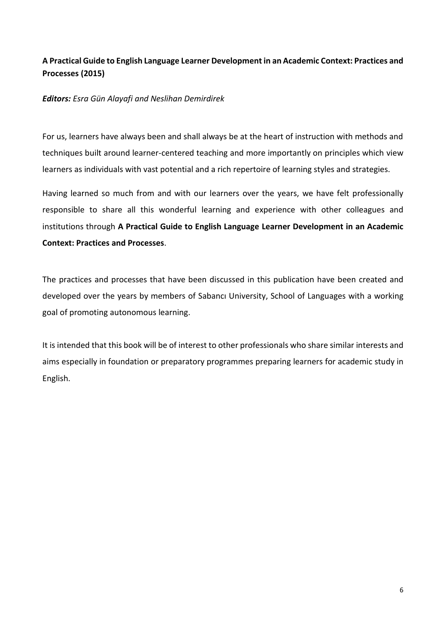# **A Practical Guide to English Language Learner Development in an Academic Context: Practices and Processes (2015)**

### *Editors: Esra Gün Alayafi and Neslihan Demirdirek*

For us, learners have always been and shall always be at the heart of instruction with methods and techniques built around learner-centered teaching and more importantly on principles which view learners as individuals with vast potential and a rich repertoire of learning styles and strategies.

Having learned so much from and with our learners over the years, we have felt professionally responsible to share all this wonderful learning and experience with other colleagues and institutions through **A Practical Guide to English Language Learner Development in an Academic Context: Practices and Processes**.

The practices and processes that have been discussed in this publication have been created and developed over the years by members of Sabancı University, School of Languages with a working goal of promoting autonomous learning.

It is intended that this book will be of interest to other professionals who share similar interests and aims especially in foundation or preparatory programmes preparing learners for academic study in English.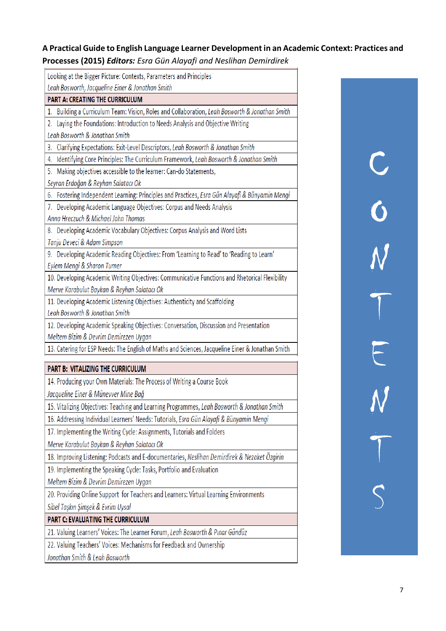**A Practical Guide to English Language Learner Development in an Academic Context: Practices and Processes (2015)** *Editors: Esra Gün Alayafi and Neslihan Demirdirek*

| Looking at the Bigger Picture: Contexts, Parameters and Principles                                |
|---------------------------------------------------------------------------------------------------|
| Leah Bosworth, Jacqueline Einer & Jonathan Smith                                                  |
| <b>PART A: CREATING THE CURRICULUM</b>                                                            |
| 1. Building a Curriculum Team: Vision, Roles and Collaboration, Leah Bosworth & Jonathan Smith    |
| 2. Laying the Foundations: Introduction to Needs Analysis and Objective Writing                   |
| Leah Bosworth & Jonathan Smith                                                                    |
| 3. Clarifying Expectations: Exit-Level Descriptors, Leah Bosworth & Jonathan Smith                |
| 4. Identifying Core Principles: The Curriculum Framework, Leah Bosworth & Jonathan Smith          |
| 5. Making objectives accessible to the learner: Can-do Statements,                                |
| Seyran Erdoğan & Reyhan Salatacı Ok                                                               |
| Fostering Independent Learning: Principles and Practices, Esra Gün Alayafi & Bünyamin Mengi<br>6. |
| 7. Developing Academic Language Objectives: Corpus and Needs Analysis                             |
| Anna Hreczuch & Michael John Thomas                                                               |
| 8. Developing Academic Vocabulary Objectives: Corpus Analysis and Word Lists                      |
| Tanju Deveci & Adam Simpson                                                                       |
| 9. Developing Academic Reading Objectives: From 'Learning to Read' to 'Reading to Learn'          |
| Eylem Mengi & Sharon Turner                                                                       |
| 10. Developing Academic Writing Objectives: Communicative Functions and Rhetorical Flexibility    |
| Merve Karabulut Baykan & Reyhan Salatacı Ok                                                       |
| 11. Developing Academic Listening Objectives: Authenticity and Scaffolding                        |
| Leah Bosworth & Jonathan Smith                                                                    |
| 12. Developing Academic Speaking Objectives: Conversation, Discussion and Presentation            |
| Meltem Bizim & Devrim Demirezen Uygan                                                             |
| 13. Catering for ESP Needs: The English of Maths and Sciences, Jacqueline Einer & Jonathan Smith  |
| <b>PART B: VITALIZING THE CURRICULUM</b>                                                          |
| 14. Producing your Own Materials: The Process of Writing a Course Book                            |
| Jacqueline Einer & Münevver Mine Bağ                                                              |
| 15. Vitalizing Objectives: Teaching and Learning Programmes, Leah Bosworth & Jonathan Smith       |
| 16. Addressing Individual Learners' Needs: Tutorials, Esra Gün Alayafi & Bünyamin Mengi           |
| 17. Implementing the Writing Cycle: Assignments, Tutorials and Folders                            |
| Merve Karabulut Baykan & Reyhan Salatacı Ok                                                       |
| 18. Improving Listening: Podcasts and E-documentaries, Neslihan Demirdirek & Nezaket Özgirin      |
| 19. Implementing the Speaking Cycle: Tasks, Portfolio and Evaluation                              |
| Meltem Bizim & Devrim Demirezen Uygan                                                             |
| 20. Providing Online Support for Teachers and Learners: Virtual Learning Environments             |
|                                                                                                   |
| Sibel Taşkın Şimşek & Evrim Uysal                                                                 |
| <b>PART C: EVALUATING THE CURRICULUM</b>                                                          |
| 21. Valuing Learners' Voices: The Learner Forum, Leah Bosworth & Pinar Gündüz                     |
| 22. Valuing Teachers' Voices: Mechanisms for Feedback and Ownership                               |

Jonathan Smith & Leah Bosworth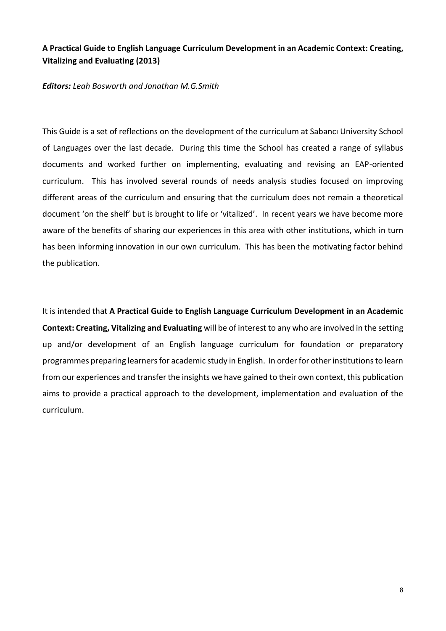### **A Practical Guide to English Language Curriculum Development in an Academic Context: Creating, Vitalizing and Evaluating (2013)**

#### *Editors: Leah Bosworth and Jonathan M.G.Smith*

This Guide is a set of reflections on the development of the curriculum at Sabancı University School of Languages over the last decade. During this time the School has created a range of syllabus documents and worked further on implementing, evaluating and revising an EAP-oriented curriculum. This has involved several rounds of needs analysis studies focused on improving different areas of the curriculum and ensuring that the curriculum does not remain a theoretical document 'on the shelf' but is brought to life or 'vitalized'. In recent years we have become more aware of the benefits of sharing our experiences in this area with other institutions, which in turn has been informing innovation in our own curriculum. This has been the motivating factor behind the publication.

It is intended that **A Practical Guide to English Language Curriculum Development in an Academic Context: Creating, Vitalizing and Evaluating** will be of interest to any who are involved in the setting up and/or development of an English language curriculum for foundation or preparatory programmes preparing learners for academic study in English. In order for other institutions to learn from our experiences and transfer the insights we have gained to their own context, this publication aims to provide a practical approach to the development, implementation and evaluation of the curriculum.